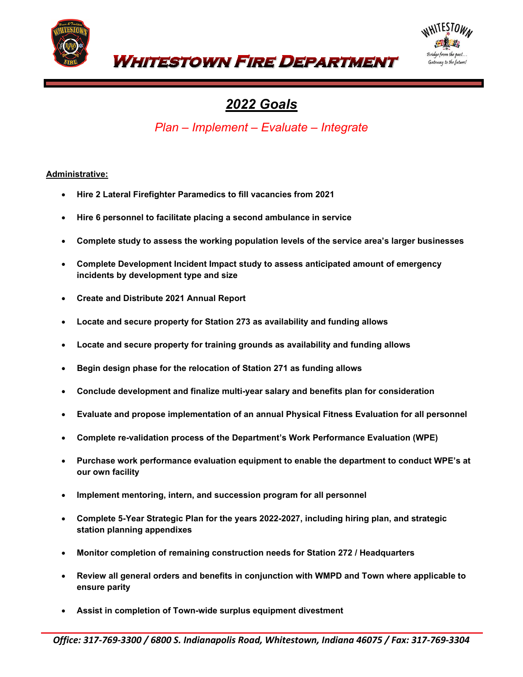



# *2022 Goals*

*Plan – Implement – Evaluate – Integrate* 

# **Administrative:**

- **Hire 2 Lateral Firefighter Paramedics to fill vacancies from 2021**
- **Hire 6 personnel to facilitate placing a second ambulance in service**
- **Complete study to assess the working population levels of the service area's larger businesses**
- **Complete Development Incident Impact study to assess anticipated amount of emergency incidents by development type and size**
- **Create and Distribute 2021 Annual Report**
- **Locate and secure property for Station 273 as availability and funding allows**
- **Locate and secure property for training grounds as availability and funding allows**
- **Begin design phase for the relocation of Station 271 as funding allows**
- **Conclude development and finalize multi-year salary and benefits plan for consideration**
- **Evaluate and propose implementation of an annual Physical Fitness Evaluation for all personnel**
- **Complete re-validation process of the Department's Work Performance Evaluation (WPE)**
- **Purchase work performance evaluation equipment to enable the department to conduct WPE's at our own facility**
- **Implement mentoring, intern, and succession program for all personnel**
- **Complete 5-Year Strategic Plan for the years 2022-2027, including hiring plan, and strategic station planning appendixes**
- **Monitor completion of remaining construction needs for Station 272 / Headquarters**
- **Review all general orders and benefits in conjunction with WMPD and Town where applicable to ensure parity**
- **Assist in completion of Town-wide surplus equipment divestment**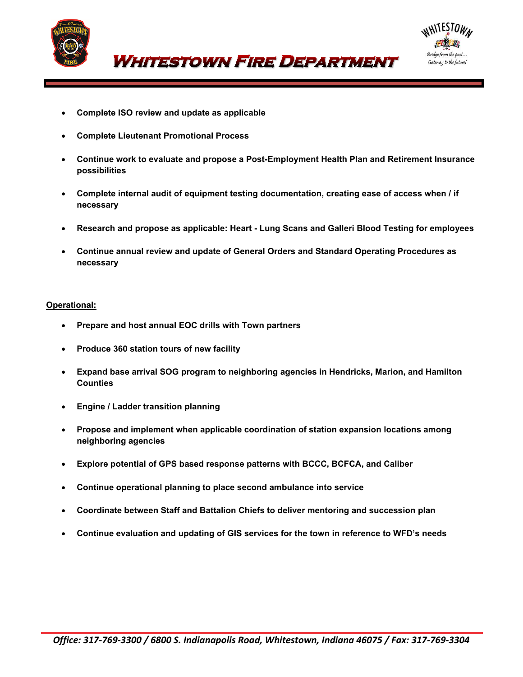



- *WHITESTOWN FIRE DEPARTMENT*
- **Complete ISO review and update as applicable**
- **Complete Lieutenant Promotional Process**
- **Continue work to evaluate and propose a Post-Employment Health Plan and Retirement Insurance possibilities**
- **Complete internal audit of equipment testing documentation, creating ease of access when / if necessary**
- **Research and propose as applicable: Heart - Lung Scans and Galleri Blood Testing for employees**
- **Continue annual review and update of General Orders and Standard Operating Procedures as necessary**

#### **Operational:**

- **Prepare and host annual EOC drills with Town partners**
- **Produce 360 station tours of new facility**
- **Expand base arrival SOG program to neighboring agencies in Hendricks, Marion, and Hamilton Counties**
- **Engine / Ladder transition planning**
- **Propose and implement when applicable coordination of station expansion locations among neighboring agencies**
- **Explore potential of GPS based response patterns with BCCC, BCFCA, and Caliber**
- **Continue operational planning to place second ambulance into service**
- **Coordinate between Staff and Battalion Chiefs to deliver mentoring and succession plan**
- **Continue evaluation and updating of GIS services for the town in reference to WFD's needs**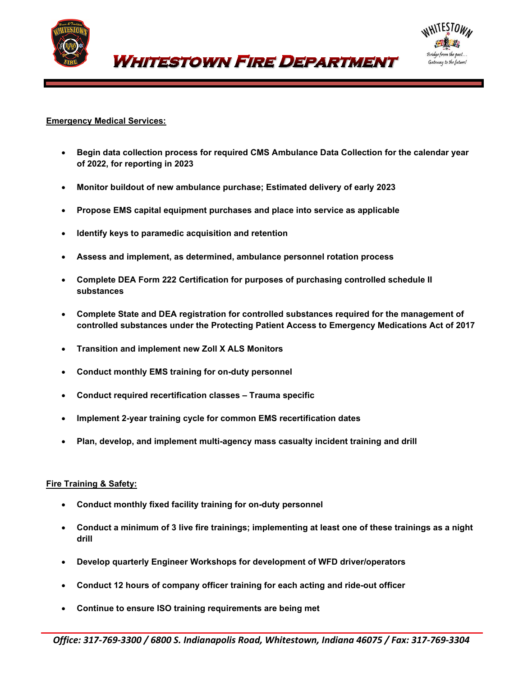

**WHITESTOWN FIRE DEPARTMENT** 



## **Emergency Medical Services:**

- **Begin data collection process for required CMS Ambulance Data Collection for the calendar year of 2022, for reporting in 2023**
- **Monitor buildout of new ambulance purchase; Estimated delivery of early 2023**
- **Propose EMS capital equipment purchases and place into service as applicable**
- **Identify keys to paramedic acquisition and retention**
- **Assess and implement, as determined, ambulance personnel rotation process**
- **Complete DEA Form 222 Certification for purposes of purchasing controlled schedule II substances**
- **Complete State and DEA registration for controlled substances required for the management of controlled substances under the Protecting Patient Access to Emergency Medications Act of 2017**
- **Transition and implement new Zoll X ALS Monitors**
- **Conduct monthly EMS training for on-duty personnel**
- **Conduct required recertification classes – Trauma specific**
- **Implement 2-year training cycle for common EMS recertification dates**
- **Plan, develop, and implement multi-agency mass casualty incident training and drill**

## **Fire Training & Safety:**

- **Conduct monthly fixed facility training for on-duty personnel**
- **Conduct a minimum of 3 live fire trainings; implementing at least one of these trainings as a night drill**
- **Develop quarterly Engineer Workshops for development of WFD driver/operators**
- **Conduct 12 hours of company officer training for each acting and ride-out officer**
- **Continue to ensure ISO training requirements are being met**